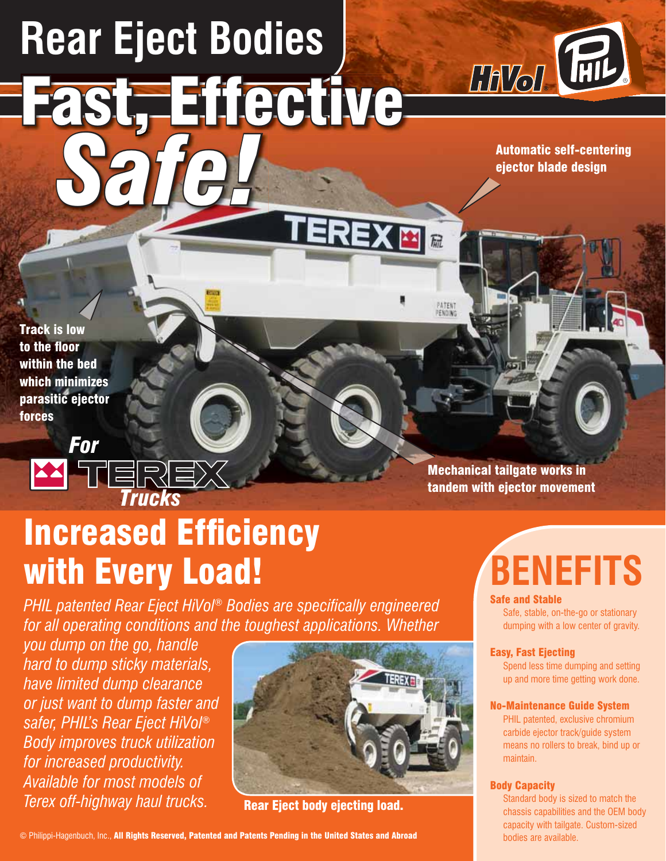# **Rear Eject Bodies** Fast, Effective

*Safe!*



Automatic self-centering ejector blade design

Track is low to the floor within the bed which minimizes parasitic ejector forces



## **Increased Efficiency** with Every Load!

**PHIL patented Rear Eject HiVol® Bodies are specifically engineered** *for all operating conditions and the toughest applications. Whether* 

*you dump on the go, handle hard to dump sticky materials, have limited dump clearance or just want to dump faster and safer, PHIL's Rear Eject HiVol® Body improves truck utilization for increased productivity. Available for most models of*  **Terex off-highway haul trucks.** Rear Eject body ejecting load.



XEI

PATENT<br>PENDING

Mechanical tailgate works in

## tandem with ejector movement

## **BENEFITS**

#### Safe and Stable

Safe, stable, on-the-go or stationary dumping with a low center of gravity.

#### Easy, Fast Ejecting

Spend less time dumping and setting up and more time getting work done.

#### No-Maintenance Guide System

PHIL patented, exclusive chromium carbide ejector track/guide system means no rollers to break, bind up or maintain.

#### Body Capacity

Standard body is sized to match the chassis capabilities and the OEM body capacity with tailgate. Custom-sized bodies are available.